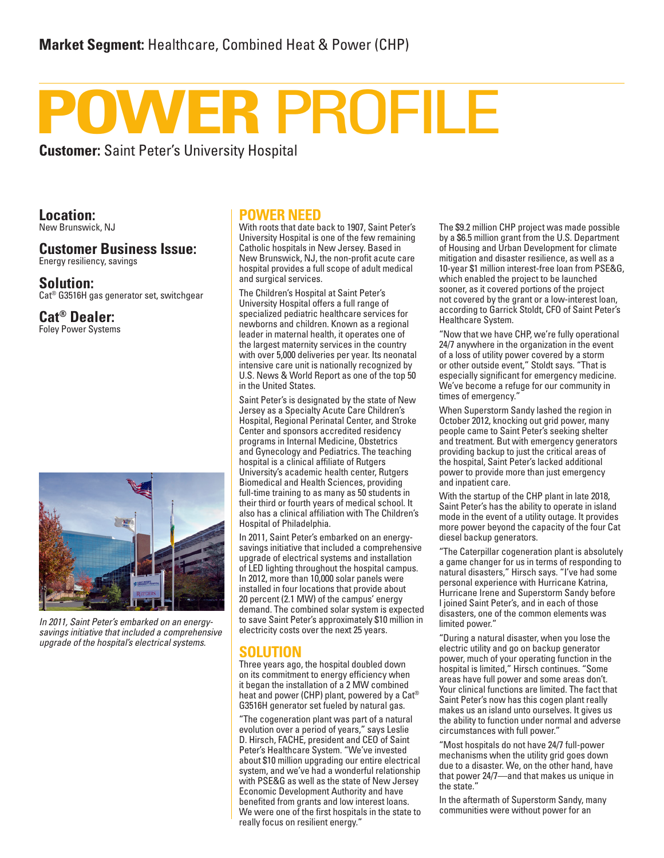# **POWER PROFILE**

**Customer:** Saint Peter's University Hospital

**Location:** New Brunswick, NJ

#### **Customer Business Issue:** Energy resiliency, savings

**Solution:** Cat® G3516H gas generator set, switchgear

#### **Cat® Dealer:** Foley Power Systems



*In 2011, Saint Peter's embarked on an energysavings initiative that included a comprehensive upgrade of the hospital's electrical systems.*

#### **POWER NEED**

With roots that date back to 1907, Saint Peter's University Hospital is one of the few remaining Catholic hospitals in New Jersey. Based in New Brunswick, NJ, the non-profit acute care hospital provides a full scope of adult medical and surgical services.

The Children's Hospital at Saint Peter's University Hospital offers a full range of specialized pediatric healthcare services for newborns and children. Known as a regional leader in maternal health, it operates one of the largest maternity services in the country with over 5,000 deliveries per year. Its neonatal intensive care unit is nationally recognized by U.S. News & World Report as one of the top 50 in the United States.

Saint Peter's is designated by the state of New Jersey as a Specialty Acute Care Children's Hospital, Regional Perinatal Center, and Stroke Center and sponsors accredited residency programs in Internal Medicine, Obstetrics and Gynecology and Pediatrics. The teaching hospital is a clinical affiliate of Rutgers University's academic health center, Rutgers Biomedical and Health Sciences, providing full-time training to as many as 50 students in their third or fourth years of medical school. It also has a clinical affiliation with The Children's Hospital of Philadelphia.

In 2011, Saint Peter's embarked on an energysavings initiative that included a comprehensive upgrade of electrical systems and installation of LED lighting throughout the hospital campus. In 2012, more than 10,000 solar panels were installed in four locations that provide about 20 percent (2.1 MW) of the campus' energy demand. The combined solar system is expected to save Saint Peter's approximately \$10 million in electricity costs over the next 25 years.

### **SOLUTION**

Three years ago, the hospital doubled down on its commitment to energy efficiency when it began the installation of a 2 MW combined heat and power (CHP) plant, powered by a Cat® G3516H generator set fueled by natural gas.

"The cogeneration plant was part of a natural evolution over a period of years," says Leslie D. Hirsch, FACHE, president and CEO of Saint Peter's Healthcare System. "We've invested about \$10 million upgrading our entire electrical system, and we've had a wonderful relationship with PSE&G as well as the state of New Jersey Economic Development Authority and have benefited from grants and low interest loans. We were one of the first hospitals in the state to really focus on resilient energy."

The \$9.2 million CHP project was made possible by a \$6.5 million grant from the U.S. Department of Housing and Urban Development for climate mitigation and disaster resilience, as well as a 10-year \$1 million interest-free loan from PSE&G, which enabled the project to be launched sooner, as it covered portions of the project not covered by the grant or a low-interest loan, according to Garrick Stoldt, CFO of Saint Peter's Healthcare System.

"Now that we have CHP, we're fully operational 24/7 anywhere in the organization in the event of a loss of utility power covered by a storm or other outside event," Stoldt says. "That is especially significant for emergency medicine. We've become a refuge for our community in times of emergency."

When Superstorm Sandy lashed the region in October 2012, knocking out grid power, many people came to Saint Peter's seeking shelter and treatment. But with emergency generators providing backup to just the critical areas of the hospital, Saint Peter's lacked additional power to provide more than just emergency and inpatient care.

With the startup of the CHP plant in late 2018, Saint Peter's has the ability to operate in island mode in the event of a utility outage. It provides more power beyond the capacity of the four Cat diesel backup generators.

"The Caterpillar cogeneration plant is absolutely a game changer for us in terms of responding to natural disasters," Hirsch says. "I've had some personal experience with Hurricane Katrina, Hurricane Irene and Superstorm Sandy before I joined Saint Peter's, and in each of those disasters, one of the common elements was limited power."

"During a natural disaster, when you lose the electric utility and go on backup generator power, much of your operating function in the hospital is limited," Hirsch continues. "Some areas have full power and some areas don't. Your clinical functions are limited. The fact that Saint Peter's now has this cogen plant really makes us an island unto ourselves. It gives us the ability to function under normal and adverse circumstances with full power."

"Most hospitals do not have 24/7 full-power mechanisms when the utility grid goes down due to a disaster. We, on the other hand, have that power 24/7—and that makes us unique in the state."

In the aftermath of Superstorm Sandy, many communities were without power for an